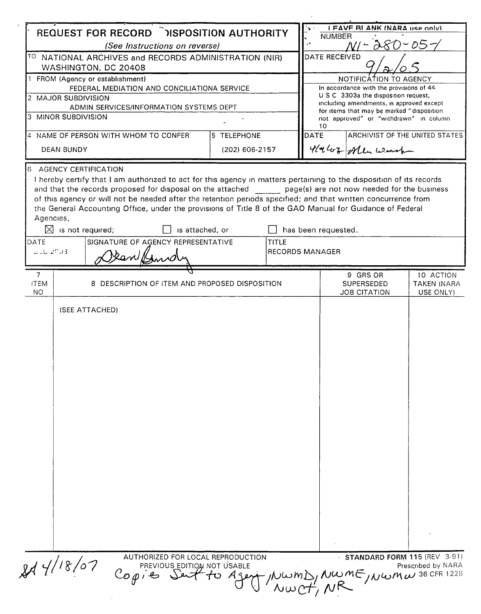|                                                                                                                                                                                                                                                                                                                        |                              |                                                                                                                                                                                                                                                                 |                 |                               |                                                                                                                               |                                                                                                                      | I FAVE RI ANK INARA HSP ONLY                         |                                                    |
|------------------------------------------------------------------------------------------------------------------------------------------------------------------------------------------------------------------------------------------------------------------------------------------------------------------------|------------------------------|-----------------------------------------------------------------------------------------------------------------------------------------------------------------------------------------------------------------------------------------------------------------|-----------------|-------------------------------|-------------------------------------------------------------------------------------------------------------------------------|----------------------------------------------------------------------------------------------------------------------|------------------------------------------------------|----------------------------------------------------|
| <b>REQUEST FOR RECORD DISPOSITION AUTHORITY</b><br>(See Instructions on reverse)<br>TO NATIONAL ARCHIVES and RECORDS ADMINISTRATION (NIR)<br>WASHINGTON, DC 20408<br>1 FROM (Agency or establishment)<br>FEDERAL MEDIATION AND CONCILIATIONA SERVICE<br>2 MAJOR SUBDIVISION<br>ADMIN SERVICES/INFORMATION SYSTEMS DEPT |                              |                                                                                                                                                                                                                                                                 |                 |                               |                                                                                                                               | <b>NUMBER</b><br>$\cdot$<br>D.<br>DATE RECEIVED<br>NOTIFICATION TO AGENCY<br>In accordance with the provisions of 44 |                                                      |                                                    |
|                                                                                                                                                                                                                                                                                                                        |                              |                                                                                                                                                                                                                                                                 |                 |                               |                                                                                                                               |                                                                                                                      |                                                      |                                                    |
|                                                                                                                                                                                                                                                                                                                        |                              |                                                                                                                                                                                                                                                                 |                 |                               |                                                                                                                               |                                                                                                                      |                                                      |                                                    |
|                                                                                                                                                                                                                                                                                                                        |                              |                                                                                                                                                                                                                                                                 |                 |                               |                                                                                                                               |                                                                                                                      |                                                      |                                                    |
|                                                                                                                                                                                                                                                                                                                        |                              |                                                                                                                                                                                                                                                                 |                 |                               | U S C 3303a the disposition request,<br>including amendments, is approved except<br>for items that may be marked "disposition |                                                                                                                      |                                                      |                                                    |
|                                                                                                                                                                                                                                                                                                                        | 3 MINOR SUBDIVISION          |                                                                                                                                                                                                                                                                 |                 |                               |                                                                                                                               | 10                                                                                                                   | not approved" or "withdrawn" in column               |                                                    |
| 4 NAME OF PERSON WITH WHOM TO CONFER<br><b>DEAN BUNDY</b>                                                                                                                                                                                                                                                              |                              |                                                                                                                                                                                                                                                                 |                 | 5 TELEPHONE<br>(202) 606-2157 |                                                                                                                               | DATE                                                                                                                 | ARCHIVIST OF THE UNITED STATES<br>4/4/02 Alle Worth  |                                                    |
|                                                                                                                                                                                                                                                                                                                        |                              |                                                                                                                                                                                                                                                                 |                 |                               |                                                                                                                               |                                                                                                                      |                                                      |                                                    |
| Agencies,<br>DATE<br>$1.162$ $20.3$                                                                                                                                                                                                                                                                                    | $\boxtimes$ is not required; | of this agency or will not be needed after the retention periods specified; and that written concurrence from<br>the General Accounting Office, under the provisions of Title 8 of the GAO Manual for Guidance of Federal<br>SIGNATURE OF AGENCY REPRESENTATIVE | is attached, or |                               | <b>TITLE</b>                                                                                                                  | has been requested.<br><b>RECORDS MANAGER</b>                                                                        |                                                      |                                                    |
|                                                                                                                                                                                                                                                                                                                        |                              |                                                                                                                                                                                                                                                                 |                 |                               |                                                                                                                               |                                                                                                                      |                                                      |                                                    |
| $\overline{7}$<br><b>ITEM</b><br>NO                                                                                                                                                                                                                                                                                    |                              | 8 DESCRIPTION OF ITEM AND PROPOSED DISPOSITION                                                                                                                                                                                                                  |                 |                               |                                                                                                                               |                                                                                                                      | 9 GRS OR<br><b>SUPERSEDED</b><br><b>JOB CITATION</b> | 10 ACTION<br><b>TAKEN (NARA</b><br>USE ONLY)       |
|                                                                                                                                                                                                                                                                                                                        |                              |                                                                                                                                                                                                                                                                 |                 |                               |                                                                                                                               |                                                                                                                      |                                                      |                                                    |
|                                                                                                                                                                                                                                                                                                                        | 844/18/07                    | AUTHORIZED FOR LOCAL REPRODUCTION<br>PREVIOUS_EDITION NOT USABLE<br>$Cop \cdot e$                                                                                                                                                                               |                 |                               |                                                                                                                               |                                                                                                                      | to Agent NWMD, NWME, NWMW 36 CFR 1228                | STANDARD FORM 115 (REV 3-91)<br>Prescribed by NARA |

 $\sim 10^7$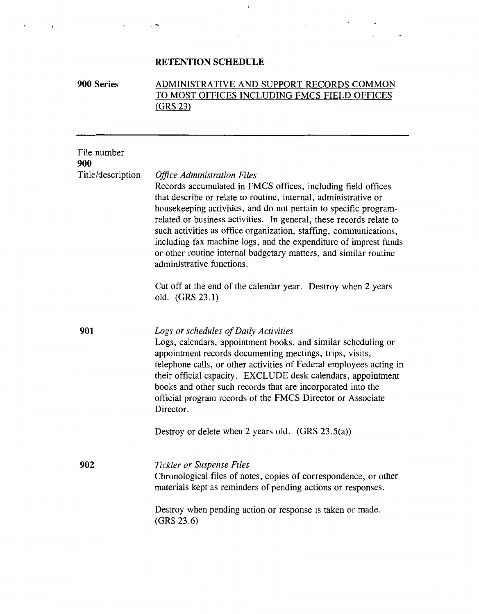# **RETENTION SCHEDULE**

 $\cdot$   $\sim$ 

 $\epsilon$ 

 $\ddot{\phantom{0}}$ 

### **900 Series**  ADMINISTRATIVE AND SUPPORT RECORDS COMMON TO MOST OFFICES INCLUDING FMCS FIELD OFFICES (GRS 23)

 $\ddot{\star}$ 

 $\epsilon$  .

 $\bullet$ 

| File number<br>900 |                                                                                                                                                                                                                                                                                                                                                                                                                                                                                                                                                            |
|--------------------|------------------------------------------------------------------------------------------------------------------------------------------------------------------------------------------------------------------------------------------------------------------------------------------------------------------------------------------------------------------------------------------------------------------------------------------------------------------------------------------------------------------------------------------------------------|
| Title/description  | <b>Office Administration Files</b><br>Records accumulated in FMCS offices, including field offices<br>that describe or relate to routine, internal, administrative or<br>housekeeping activities, and do not pertain to specific program-<br>related or business activities. In general, these records relate to<br>such activities as office organization, staffing, communications,<br>including fax machine logs, and the expenditure of imprest funds<br>or other routine internal budgetary matters, and similar routine<br>administrative functions. |
|                    | Cut off at the end of the calendar year. Destroy when 2 years<br>old. (GRS 23.1)                                                                                                                                                                                                                                                                                                                                                                                                                                                                           |
| 901                | Logs or schedules of Daily Activities<br>Logs, calendars, appointment books, and similar scheduling or<br>appointment records documenting meetings, trips, visits,<br>telephone calls, or other activities of Federal employees acting in<br>their official capacity. EXCLUDE desk calendars, appointment<br>books and other such records that are incorporated into the<br>official program records of the FMCS Director or Associate<br>Director.                                                                                                        |
|                    | Destroy or delete when 2 years old. $(GRS 23.5(a))$                                                                                                                                                                                                                                                                                                                                                                                                                                                                                                        |
| 902                | Tickler or Suspense Files<br>Chronological files of notes, copies of correspondence, or other<br>materials kept as reminders of pending actions or responses.<br>Destroy when pending action or response is taken or made.                                                                                                                                                                                                                                                                                                                                 |
|                    | (GRS 23.6)                                                                                                                                                                                                                                                                                                                                                                                                                                                                                                                                                 |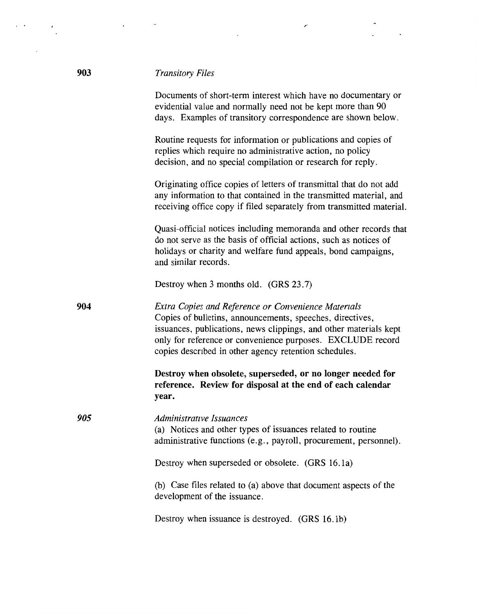| <b>Transitory Files</b> |  |  |  |
|-------------------------|--|--|--|
|-------------------------|--|--|--|

Documents of short-term interest which have no documentary or evidential value and normally need not be kept more than 90 days. Examples of transitory correspondence are shown below.

Routine requests for information or publications and copies of replies which require no administrative action, no policy decision, and no special compilation or research for reply.

Originating office copies of letters of transmittal that do not add any information to that contained in the transmitted material, and receiving office copy if filed separately from transmitted material.

Quasi-official notices including memoranda and other records that do not serve as the basis of official actions, such as notices of holidays or charity and welfare fund appeals, bond campaigns, and similar records.

Destroy when 3 months old. **(GRS** 23.7)

**904**  *Extra Copies and Reference or Convenience Materials*  Copies of bulletins, announcements, speeches, directives, issuances, publications, news clippings, and other materials kept only for reference or convenience purposes. EXCLUDE record copies descnbed in other agency retention schedules.

> **Destroy when obsolete, superseded, or no longer needed for reference. Review for disposal at the end of each calendar year.**

*Administrative Issuances* (a) Notices and other types of issuances related to routine administrative functions (e.g., payroll, procurement, personnel).

Destroy when superseded or obsolete. **(GRS** 16. la)

(b) Case files related to (a) above that document aspects of the development of the issuance.

Destroy when issuance is destroyed. (GRS 16.1b)

*905*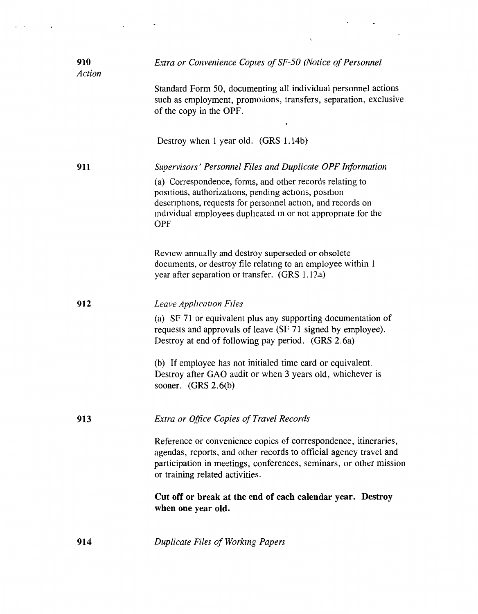| 910<br>Action | Extra or Convenience Copies of SF-50 (Notice of Personnel                                                                                                                                                                                                      |
|---------------|----------------------------------------------------------------------------------------------------------------------------------------------------------------------------------------------------------------------------------------------------------------|
|               | Standard Form 50, documenting all individual personnel actions<br>such as employment, promotions, transfers, separation, exclusive<br>of the copy in the OPF.                                                                                                  |
|               | Destroy when 1 year old. (GRS 1.14b)                                                                                                                                                                                                                           |
| 911           | Supervisors' Personnel Files and Duplicate OPF Information                                                                                                                                                                                                     |
|               | (a) Correspondence, forms, and other records relating to<br>positions, authorizations, pending actions, position<br>descriptions, requests for personnel action, and records on<br>individual employees duplicated in or not appropriate for the<br><b>OPF</b> |
|               | Review annually and destroy superseded or obsolete<br>documents, or destroy file relating to an employee within 1<br>year after separation or transfer. (GRS 1.12a)                                                                                            |
| 912           | Leave Application Files                                                                                                                                                                                                                                        |
|               | (a) SF 71 or equivalent plus any supporting documentation of<br>requests and approvals of leave (SF 71 signed by employee).<br>Destroy at end of following pay period. (GRS 2.6a)                                                                              |
|               | (b) If employee has not initialed time card or equivalent.<br>Destroy after GAO audit or when 3 years old, whichever is<br>sooner. $(GRS 2.6(b)$                                                                                                               |
| 913           | <b>Extra or Office Copies of Travel Records</b>                                                                                                                                                                                                                |
|               | Reference or convenience copies of correspondence, itineraries,<br>agendas, reports, and other records to official agency travel and<br>participation in meetings, conferences, seminars, or other mission<br>or training related activities.                  |
|               | Cut off or break at the end of each calendar year. Destroy<br>when one year old.                                                                                                                                                                               |
| 914           | Duplicate Files of Working Papers                                                                                                                                                                                                                              |

 $\alpha$  ,  $\alpha$  ,  $\alpha$  ,  $\alpha$  ,  $\alpha$  ,  $\alpha$  ,  $\alpha$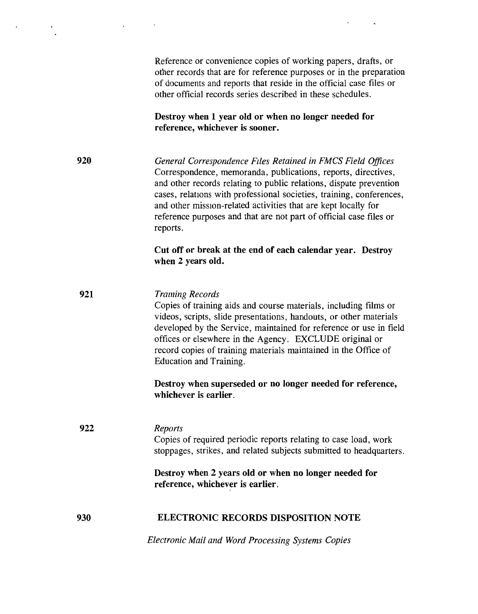Reference or convenience copies of working papers, drafts, or other records that are for reference purposes or in the preparation of documents and reports that reside in the official case files or other official records series described in these schedules.

**Destroy when 1 year old or when no longer needed for reference, whichever is sooner.** 

**920**  *General Correspondence Files Retained in FMCS Field Offices*  Correspondence, memoranda, publications, reports, directives, and other records relating to public relations, dispute prevention cases, relations with professional societies, training, conferences, and other mission-related activities that are kept locally for reference purposes and that are not part of official case files or reports.

**921** 

÷

**Cut off or break at the end of each calendar year. Destroy when 2 years old.** 

*Traming Records*  Copies of training aids and course materials, including films or videos, scripts, slide presentations, handouts, or other materials developed by the Service, maintained for reference or use in field offices or elsewhere in the Agency. EXCLUDE original or record copies of training materials maintained in the Office of Education and Training.

**Destroy when superseded or no longer needed for reference, whichever is earlier.** 

### **922**  *Reports*  Copies of required periodic reports relating to case load, work stoppages, strikes, and related subjects submitted to headquarters.

**Destroy when 2 years old or when no longer needed for reference, whichever is earlier.** 

#### **930 ELECTRONIC RECORDS DISPOSITION NOTE**

*Electronic Mail and Word Processing Systems Copies*